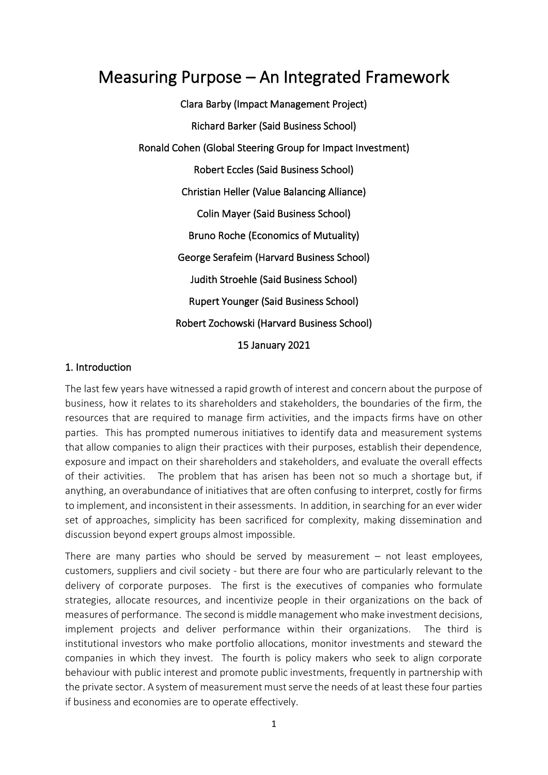# Measuring Purpose – An Integrated Framework

Clara Barby (Impact Management Project) Richard Barker (Said Business School) Ronald Cohen (Global Steering Group for Impact Investment) Robert Eccles (Said Business School) Christian Heller (Value Balancing Alliance) Colin Mayer (Said Business School) Bruno Roche (Economics of Mutuality) George Serafeim (Harvard Business School) Judith Stroehle (Said Business School) Rupert Younger (Said Business School) Robert Zochowski (Harvard Business School) 15 January 2021

### 1. Introduction

The last few years have witnessed a rapid growth of interest and concern about the purpose of business, how it relates to its shareholders and stakeholders, the boundaries of the firm, the resources that are required to manage firm activities, and the impacts firms have on other parties. This has prompted numerous initiatives to identify data and measurement systems that allow companies to align their practices with their purposes, establish their dependence, exposure and impact on their shareholders and stakeholders, and evaluate the overall effects of their activities. The problem that has arisen has been not so much a shortage but, if anything, an overabundance of initiatives that are often confusing to interpret, costly for firms to implement, and inconsistent in their assessments. In addition, in searching for an ever wider set of approaches, simplicity has been sacrificed for complexity, making dissemination and discussion beyond expert groups almost impossible.

There are many parties who should be served by measurement  $-$  not least employees, customers, suppliers and civil society - but there are four who are particularly relevant to the delivery of corporate purposes. The first is the executives of companies who formulate strategies, allocate resources, and incentivize people in their organizations on the back of measures of performance. The second is middle management who make investment decisions, implement projects and deliver performance within their organizations. The third is institutional investors who make portfolio allocations, monitor investments and steward the companies in which they invest. The fourth is policy makers who seek to align corporate behaviour with public interest and promote public investments, frequently in partnership with the private sector. A system of measurement must serve the needs of at least these four parties if business and economies are to operate effectively.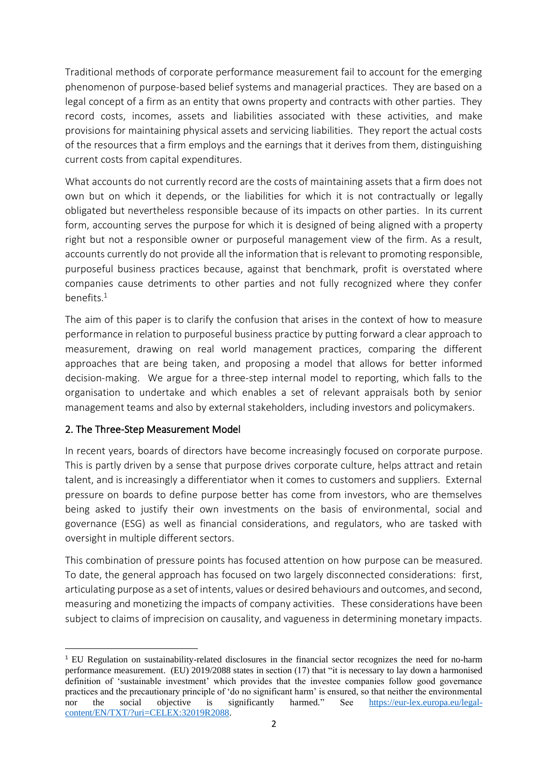Traditional methods of corporate performance measurement fail to account for the emerging phenomenon of purpose-based belief systems and managerial practices. They are based on a legal concept of a firm as an entity that owns property and contracts with other parties. They record costs, incomes, assets and liabilities associated with these activities, and make provisions for maintaining physical assets and servicing liabilities. They report the actual costs of the resources that a firm employs and the earnings that it derives from them, distinguishing current costs from capital expenditures.

What accounts do not currently record are the costs of maintaining assets that a firm does not own but on which it depends, or the liabilities for which it is not contractually or legally obligated but nevertheless responsible because of its impacts on other parties. In its current form, accounting serves the purpose for which it is designed of being aligned with a property right but not a responsible owner or purposeful management view of the firm. As a result, accounts currently do not provide all the information that is relevant to promoting responsible, purposeful business practices because, against that benchmark, profit is overstated where companies cause detriments to other parties and not fully recognized where they confer benefits. $1$ 

The aim of this paper is to clarify the confusion that arises in the context of how to measure performance in relation to purposeful business practice by putting forward a clear approach to measurement, drawing on real world management practices, comparing the different approaches that are being taken, and proposing a model that allows for better informed decision-making. We argue for a three-step internal model to reporting, which falls to the organisation to undertake and which enables a set of relevant appraisals both by senior management teams and also by external stakeholders, including investors and policymakers.

## 2. The Three-Step Measurement Model

In recent years, boards of directors have become increasingly focused on corporate purpose. This is partly driven by a sense that purpose drives corporate culture, helps attract and retain talent, and is increasingly a differentiator when it comes to customers and suppliers. External pressure on boards to define purpose better has come from investors, who are themselves being asked to justify their own investments on the basis of environmental, social and governance (ESG) as well as financial considerations, and regulators, who are tasked with oversight in multiple different sectors.

This combination of pressure points has focused attention on how purpose can be measured. To date, the general approach has focused on two largely disconnected considerations: first, articulating purpose as a set of intents, values or desired behaviours and outcomes, and second, measuring and monetizing the impacts of company activities. These considerations have been subject to claims of imprecision on causality, and vagueness in determining monetary impacts.

<sup>1</sup> EU Regulation on sustainability-related disclosures in the financial sector recognizes the need for no-harm performance measurement. (EU) 2019/2088 states in section (17) that "it is necessary to lay down a harmonised definition of 'sustainable investment' which provides that the investee companies follow good governance practices and the precautionary principle of 'do no significant harm' is ensured, so that neither the environmental nor the social objective is significantly harmed." See [https://eur-lex.europa.eu/legal](https://eur-lex.europa.eu/legal-content/EN/TXT/?uri=CELEX:32019R2088)[content/EN/TXT/?uri=CELEX:32019R2088.](https://eur-lex.europa.eu/legal-content/EN/TXT/?uri=CELEX:32019R2088)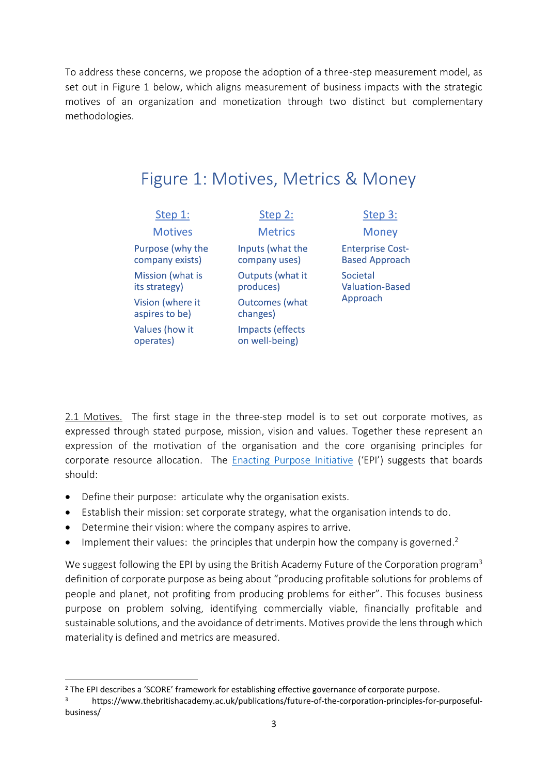To address these concerns, we propose the adoption of a three-step measurement model, as set out in Figure 1 below, which aligns measurement of business impacts with the strategic motives of an organization and monetization through two distinct but complementary methodologies.

| Step 1:                             | Step 2:                            |                    |
|-------------------------------------|------------------------------------|--------------------|
| <b>Motives</b>                      | <b>Metrics</b>                     |                    |
| Purpose (why the<br>company exists) | Inputs (what the<br>company uses)  | Ent<br><b>Bas</b>  |
| Mission (what is<br>its strategy)   | Outputs (what it<br>produces)      | Soc<br>Valı<br>App |
| Vision (where it<br>aspires to be)  | <b>Outcomes</b> (what<br>changes)  |                    |
| Values (how it<br>operates)         | Impacts (effects<br>on well-being) |                    |

**Money** erprise Costed Approach ietal uation-Based **proach** 

Step 3:

2.1 Motives. The first stage in the three-step model is to set out corporate motives, as expressed through stated purpose, mission, vision and values. Together these represent an expression of the motivation of the organisation and the core organising principles for corporate resource allocation. The **[Enacting Purpose Initiative](https://enactingpurpose.org/)** ('EPI') suggests that boards should:

- Define their purpose: articulate why the organisation exists.
- Establish their mission: set corporate strategy, what the organisation intends to do.
- Determine their vision: where the company aspires to arrive.
- $\bullet$  Implement their values: the principles that underpin how the company is governed.<sup>2</sup>

We suggest following the EPI by using the British Academy Future of the Corporation program<sup>3</sup> definition of corporate purpose as being about "producing profitable solutions for problems of people and planet, not profiting from producing problems for either". This focuses business purpose on problem solving, identifying commercially viable, financially profitable and sustainable solutions, and the avoidance of detriments. Motives provide the lens through which materiality is defined and metrics are measured.

<sup>&</sup>lt;sup>2</sup> The EPI describes a 'SCORE' framework for establishing effective governance of corporate purpose.<br>**B** https://www.thebritishacademy.ac.uk/publications/future-of-the-corporation-principles-for-r

https://www.thebritishacademy.ac.uk/publications/future-of-the-corporation-principles-for-purposefulbusiness/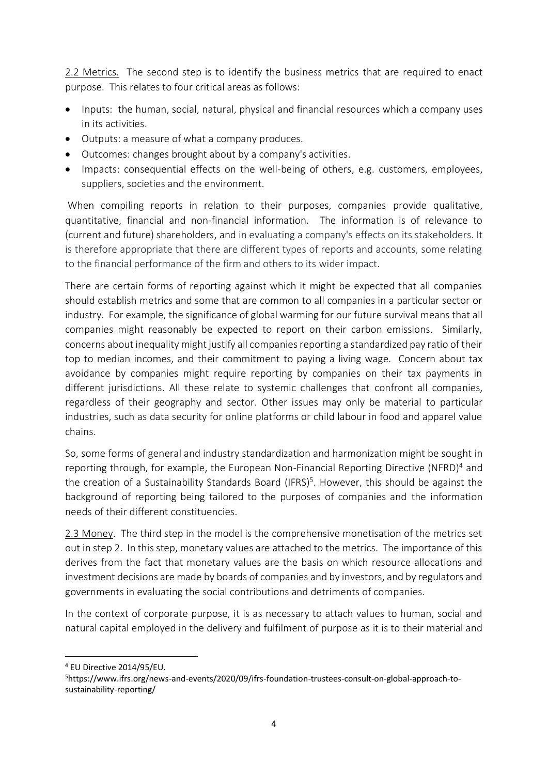2.2 Metrics. The second step is to identify the business metrics that are required to enact purpose. This relates to four critical areas as follows:

- Inputs: the human, social, natural, physical and financial resources which a company uses in its activities.
- Outputs: a measure of what a company produces.
- Outcomes: changes brought about by a company's activities.
- Impacts: consequential effects on the well-being of others, e.g. customers, employees, suppliers, societies and the environment.

When compiling reports in relation to their purposes, companies provide qualitative, quantitative, financial and non-financial information. The information is of relevance to (current and future) shareholders, and in evaluating a company's effects on its stakeholders. It is therefore appropriate that there are different types of reports and accounts, some relating to the financial performance of the firm and others to its wider impact.

There are certain forms of reporting against which it might be expected that all companies should establish metrics and some that are common to all companies in a particular sector or industry. For example, the significance of global warming for our future survival means that all companies might reasonably be expected to report on their carbon emissions. Similarly, concerns about inequality might justify all companies reporting a standardized pay ratio of their top to median incomes, and their commitment to paying a living wage. Concern about tax avoidance by companies might require reporting by companies on their tax payments in different jurisdictions. All these relate to systemic challenges that confront all companies, regardless of their geography and sector. Other issues may only be material to particular industries, such as data security for online platforms or child labour in food and apparel value chains.

So, some forms of general and industry standardization and harmonization might be sought in reporting through, for example, the European Non-Financial Reporting Directive (NFRD)<sup>4</sup> and the creation of a Sustainability Standards Board (IFRS)<sup>5</sup>. However, this should be against the background of reporting being tailored to the purposes of companies and the information needs of their different constituencies.

2.3 Money. The third step in the model is the comprehensive monetisation of the metrics set out in step 2. In this step, monetary values are attached to the metrics. The importance of this derives from the fact that monetary values are the basis on which resource allocations and investment decisions are made by boards of companies and by investors, and by regulators and governments in evaluating the social contributions and detriments of companies.

In the context of corporate purpose, it is as necessary to attach values to human, social and natural capital employed in the delivery and fulfilment of purpose as it is to their material and

<sup>4</sup> EU Directive 2014/95/EU.

<sup>5</sup>https://www.ifrs.org/news-and-events/2020/09/ifrs-foundation-trustees-consult-on-global-approach-tosustainability-reporting/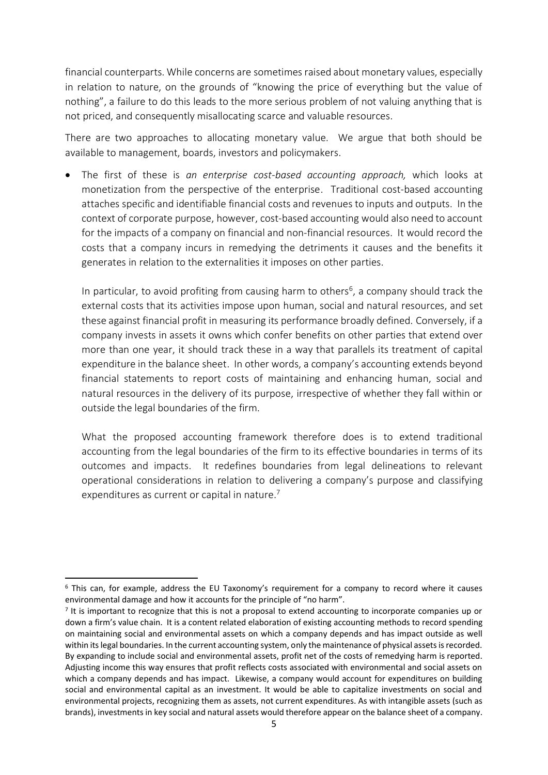financial counterparts. While concerns are sometimes raised about monetary values, especially in relation to nature, on the grounds of "knowing the price of everything but the value of nothing", a failure to do this leads to the more serious problem of not valuing anything that is not priced, and consequently misallocating scarce and valuable resources.

There are two approaches to allocating monetary value. We argue that both should be available to management, boards, investors and policymakers.

• The first of these is *an enterprise cost-based accounting approach,* which looks at monetization from the perspective of the enterprise. Traditional cost-based accounting attaches specific and identifiable financial costs and revenues to inputs and outputs. In the context of corporate purpose, however, cost-based accounting would also need to account for the impacts of a company on financial and non-financial resources. It would record the costs that a company incurs in remedying the detriments it causes and the benefits it generates in relation to the externalities it imposes on other parties.

In particular, to avoid profiting from causing harm to others<sup>6</sup>, a company should track the external costs that its activities impose upon human, social and natural resources, and set these against financial profit in measuring its performance broadly defined. Conversely, if a company invests in assets it owns which confer benefits on other parties that extend over more than one year, it should track these in a way that parallels its treatment of capital expenditure in the balance sheet. In other words, a company's accounting extends beyond financial statements to report costs of maintaining and enhancing human, social and natural resources in the delivery of its purpose, irrespective of whether they fall within or outside the legal boundaries of the firm.

What the proposed accounting framework therefore does is to extend traditional accounting from the legal boundaries of the firm to its effective boundaries in terms of its outcomes and impacts. It redefines boundaries from legal delineations to relevant operational considerations in relation to delivering a company's purpose and classifying expenditures as current or capital in nature.<sup>7</sup>

<sup>6</sup> This can, for example, address the EU Taxonomy's requirement for a company to record where it causes environmental damage and how it accounts for the principle of "no harm".

<sup>&</sup>lt;sup>7</sup> It is important to recognize that this is not a proposal to extend accounting to incorporate companies up or down a firm's value chain. It is a content related elaboration of existing accounting methods to record spending on maintaining social and environmental assets on which a company depends and has impact outside as well within its legal boundaries. In the current accounting system, only the maintenance of physical assets is recorded. By expanding to include social and environmental assets, profit net of the costs of remedying harm is reported. Adjusting income this way ensures that profit reflects costs associated with environmental and social assets on which a company depends and has impact. Likewise, a company would account for expenditures on building social and environmental capital as an investment. It would be able to capitalize investments on social and environmental projects, recognizing them as assets, not current expenditures. As with intangible assets (such as brands), investments in key social and natural assets would therefore appear on the balance sheet of a company.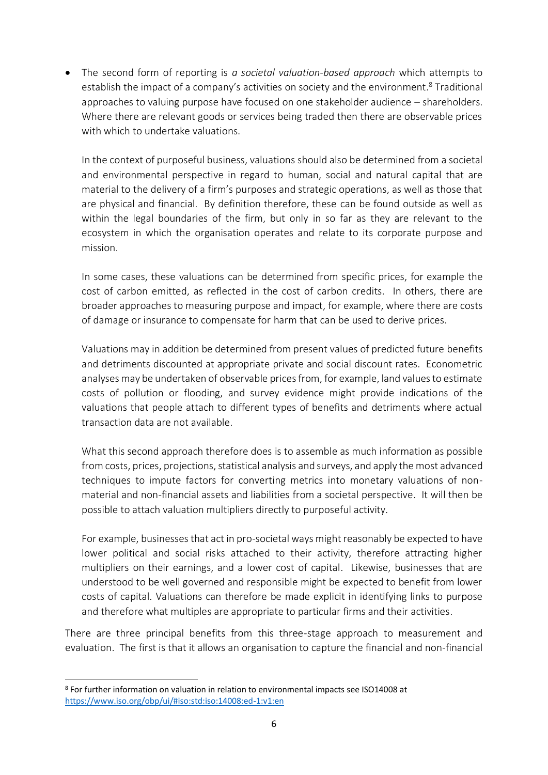• The second form of reporting is *a societal valuation-based approach* which attempts to establish the impact of a company's activities on society and the environment.<sup>8</sup> Traditional approaches to valuing purpose have focused on one stakeholder audience – shareholders. Where there are relevant goods or services being traded then there are observable prices with which to undertake valuations.

In the context of purposeful business, valuations should also be determined from a societal and environmental perspective in regard to human, social and natural capital that are material to the delivery of a firm's purposes and strategic operations, as well as those that are physical and financial. By definition therefore, these can be found outside as well as within the legal boundaries of the firm, but only in so far as they are relevant to the ecosystem in which the organisation operates and relate to its corporate purpose and mission.

In some cases, these valuations can be determined from specific prices, for example the cost of carbon emitted, as reflected in the cost of carbon credits. In others, there are broader approaches to measuring purpose and impact, for example, where there are costs of damage or insurance to compensate for harm that can be used to derive prices.

Valuations may in addition be determined from present values of predicted future benefits and detriments discounted at appropriate private and social discount rates. Econometric analyses may be undertaken of observable prices from, for example, land values to estimate costs of pollution or flooding, and survey evidence might provide indications of the valuations that people attach to different types of benefits and detriments where actual transaction data are not available.

What this second approach therefore does is to assemble as much information as possible from costs, prices, projections, statistical analysis and surveys, and apply the most advanced techniques to impute factors for converting metrics into monetary valuations of nonmaterial and non-financial assets and liabilities from a societal perspective. It will then be possible to attach valuation multipliers directly to purposeful activity.

For example, businesses that act in pro-societal ways might reasonably be expected to have lower political and social risks attached to their activity, therefore attracting higher multipliers on their earnings, and a lower cost of capital. Likewise, businesses that are understood to be well governed and responsible might be expected to benefit from lower costs of capital. Valuations can therefore be made explicit in identifying links to purpose and therefore what multiples are appropriate to particular firms and their activities.

There are three principal benefits from this three-stage approach to measurement and evaluation. The first is that it allows an organisation to capture the financial and non-financial

<sup>8</sup> For further information on valuation in relation to environmental impacts see ISO14008 at <https://www.iso.org/obp/ui/#iso:std:iso:14008:ed-1:v1:en>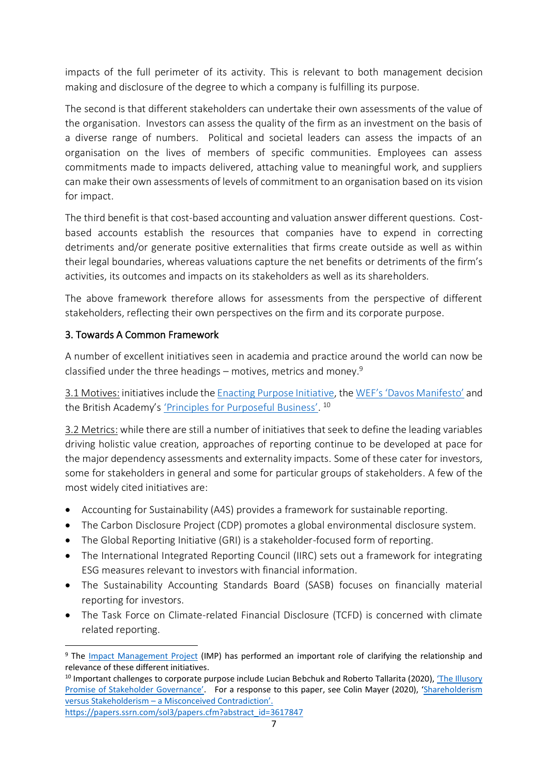impacts of the full perimeter of its activity. This is relevant to both management decision making and disclosure of the degree to which a company is fulfilling its purpose.

The second is that different stakeholders can undertake their own assessments of the value of the organisation. Investors can assess the quality of the firm as an investment on the basis of a diverse range of numbers. Political and societal leaders can assess the impacts of an organisation on the lives of members of specific communities. Employees can assess commitments made to impacts delivered, attaching value to meaningful work, and suppliers can make their own assessments of levels of commitment to an organisation based on its vision for impact.

The third benefit is that cost-based accounting and valuation answer different questions. Costbased accounts establish the resources that companies have to expend in correcting detriments and/or generate positive externalities that firms create outside as well as within their legal boundaries, whereas valuations capture the net benefits or detriments of the firm's activities, its outcomes and impacts on its stakeholders as well as its shareholders.

The above framework therefore allows for assessments from the perspective of different stakeholders, reflecting their own perspectives on the firm and its corporate purpose.

## 3. Towards A Common Framework

A number of excellent initiatives seen in academia and practice around the world can now be classified under the three headings – motives, metrics and money.<sup>9</sup>

3.1 Motives: initiatives include the [Enacting Purpose Initiative,](https://enactingpurpose.org/) the WEF's ['Davos Manifesto'](https://www.weforum.org/the-davos-manifesto) and the British Academy's <u>'Principles for Purposeful Business'</u>.<sup>10</sup>

3.2 Metrics: while there are still a number of initiatives that seek to define the leading variables driving holistic value creation, approaches of reporting continue to be developed at pace for the major dependency assessments and externality impacts. Some of these cater for investors, some for stakeholders in general and some for particular groups of stakeholders. A few of the most widely cited initiatives are:

- Accounting for Sustainability (A4S) provides a framework for sustainable reporting.
- The Carbon Disclosure Project (CDP) promotes a global environmental disclosure system.
- The Global Reporting Initiative (GRI) is a stakeholder-focused form of reporting.
- The International Integrated Reporting Council (IIRC) sets out a framework for integrating ESG measures relevant to investors with financial information.
- The Sustainability Accounting Standards Board (SASB) focuses on financially material reporting for investors.
- The Task Force on Climate-related Financial Disclosure (TCFD) is concerned with climate related reporting.

<sup>9</sup> The [Impact Management Project](https://impactmanagementproject.com/) (IMP) has performed an important role of clarifying the relationship and relevance of these different initiatives.

<sup>&</sup>lt;sup>10</sup> Important challenges to corporate purpose include Lucian Bebchuk and Roberto Tallarita (2020), *'The Illusory* [Promise of Stakeholder G](https://www.wlrk.com/docs/The_Illusory_Promise_of_Stakeholder_Governance.pdf)overnance'. For a response to this paper, see Colin Mayer (2020), '[Shareholderism](https://papers.ssrn.com/sol3/papers.cfm?abstract_id=3617847)  versus Stakeholderism – [a Misconceived Contradiction](https://papers.ssrn.com/sol3/papers.cfm?abstract_id=3617847)'.

[https://papers.ssrn.com/sol3/papers.cfm?abstract\\_id=3617847](https://papers.ssrn.com/sol3/papers.cfm?abstract_id=3617847)